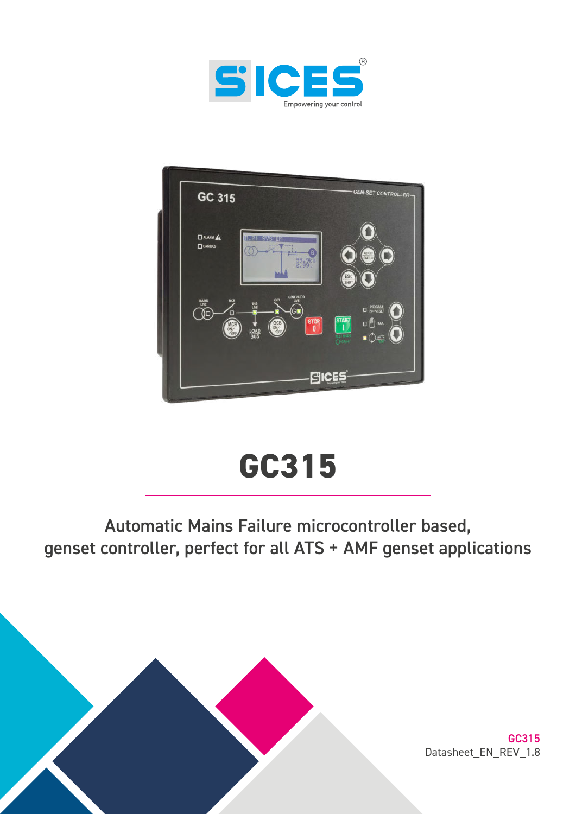



# **GC315**

# Automatic Mains Failure microcontroller based, genset controller, perfect for all ATS + AMF genset applications



GC315 Datasheet\_EN\_REV\_1.8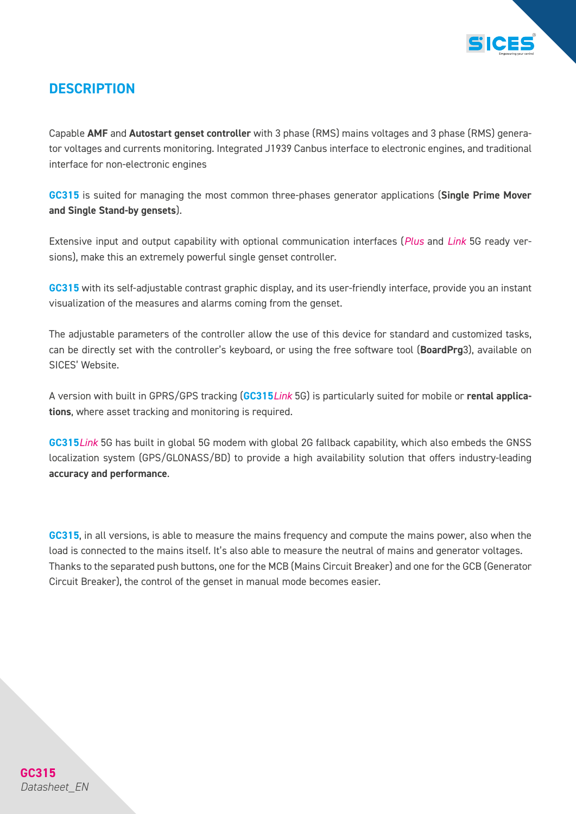

## *DESCRIPTION*

Capable *AMF* and *Autostart genset controller* with 3 phase (RMS) mains voltages and 3 phase (RMS) generator voltages and currents monitoring. Integrated J1939 Canbus interface to electronic engines, and traditional interface for non-electronic engines

*GC315* is suited for managing the most common three-phases generator applications (*Single Prime Mover and Single Stand-by gensets*).

Extensive input and output capability with optional communication interfaces (*Plus* and *Link* 5G ready versions), make this an extremely powerful single genset controller.

*GC315* with its self-adjustable contrast graphic display, and its user-friendly interface, provide you an instant visualization of the measures and alarms coming from the genset.

The adjustable parameters of the controller allow the use of this device for standard and customized tasks, can be directly set with the controller's keyboard, or using the free software tool (*BoardPrg*3), available on SICES' Website.

A version with built in GPRS/GPS tracking (*GC315Link* 5G) is particularly suited for mobile or *rental applications*, where asset tracking and monitoring is required.

*GC315Link* 5G has built in global 5G modem with global 2G fallback capability, which also embeds the GNSS localization system (GPS/GLONASS/BD) to provide a high availability solution that offers industry-leading *accuracy and performance*.

*GC315*, in all versions, is able to measure the mains frequency and compute the mains power, also when the load is connected to the mains itself. It's also able to measure the neutral of mains and generator voltages. Thanks to the separated push buttons, one for the MCB (Mains Circuit Breaker) and one for the GCB (Generator Circuit Breaker), the control of the genset in manual mode becomes easier.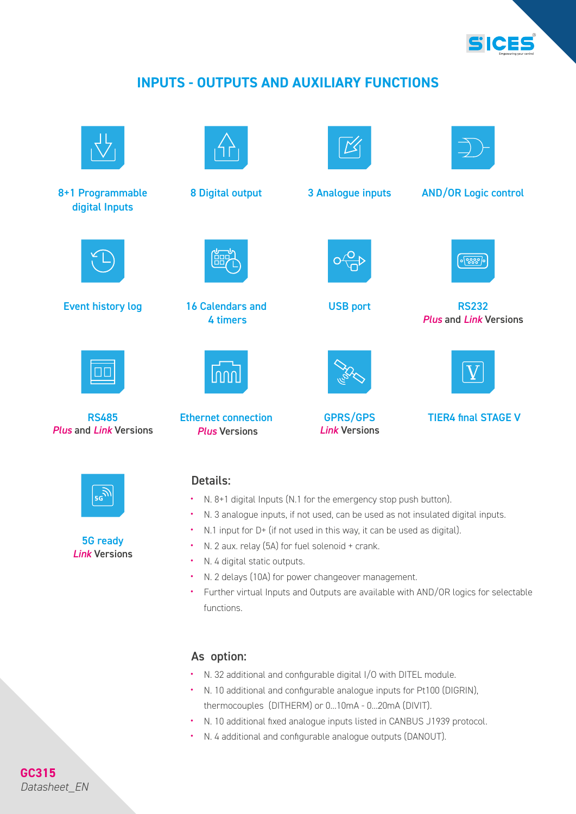

## *INPUTS - OUTPUTS AND AUXILIARY FUNCTIONS*



8+1 Programmable digital Inputs



Event history log and the Calendars and Collection USB port RS232 RS232



RS485 *Plus* and *Link* Versions



5G ready *Link* Versions



16 Calendars and 4 timers

Ethernet connection *Plus* Versions

nnr



8 Digital output 3 Analogue inputs AND/OR Logic control

USB port



*Plus* and *Link* Versions



GPRS/GPS *Link* Versions



TIER4 final STAGE V

## Details:

- N. 8+1 digital Inputs (N.1 for the emergency stop push button).
- N. 3 analogue inputs, if not used, can be used as not insulated digital inputs.
- N.1 input for D+ (if not used in this way, it can be used as digital).
- N. 2 aux. relay (5A) for fuel solenoid + crank.
- N. 4 digital static outputs.
- N. 2 delays (10A) for power changeover management.
- Further virtual Inputs and Outputs are available with AND/OR logics for selectable functions.

## As option:

- N. 32 additional and configurable digital I/O with DITEL module.
- N. 10 additional and configurable analogue inputs for Pt100 (DIGRIN), thermocouples (DITHERM) or 0...10mA - 0...20mA (DIVIT).
- N. 10 additional fixed analogue inputs listed in CANBUS J1939 protocol.
- N. 4 additional and configurable analogue outputs (DANOUT).

**GC315** *Datasheet\_EN*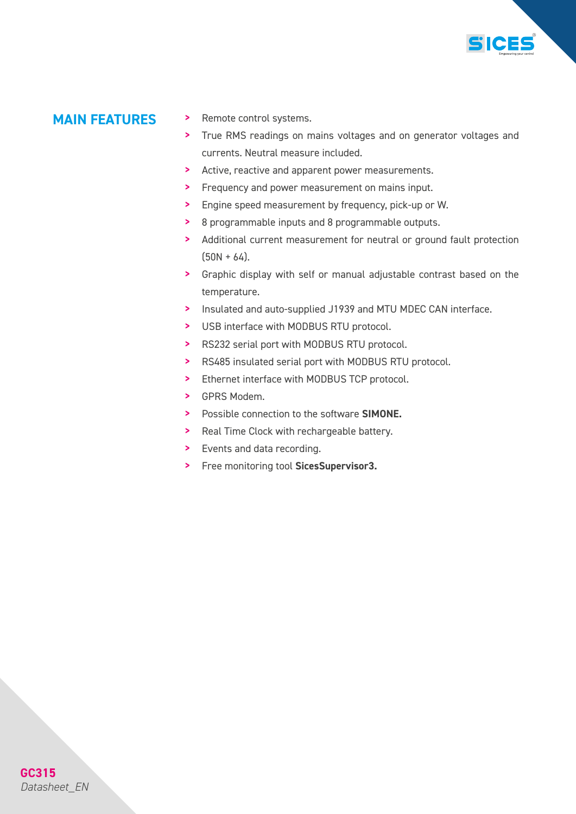

- **MAIN FEATURES** > Remote control systems.
	- > True RMS readings on mains voltages and on generator voltages and currents. Neutral measure included.
	- > Active, reactive and apparent power measurements.
	- > Frequency and power measurement on mains input.
	- > Engine speed measurement by frequency, pick-up or W.
	- > 8 programmable inputs and 8 programmable outputs.
	- > Additional current measurement for neutral or ground fault protection  $(50N + 64)$ .
	- > Graphic display with self or manual adjustable contrast based on the temperature.
	- > Insulated and auto-supplied J1939 and MTU MDEC CAN interface.
	- > USB interface with MODBUS RTU protocol.
	- > RS232 serial port with MODBUS RTU protocol.
	- > RS485 insulated serial port with MODBUS RTU protocol.
	- > Ethernet interface with MODBUS TCP protocol.
	- > GPRS Modem.
	- > Possible connection to the software *SIMONE.*
	- > Real Time Clock with rechargeable battery.
	- > Events and data recording.
	- > Free monitoring tool *SicesSupervisor3.*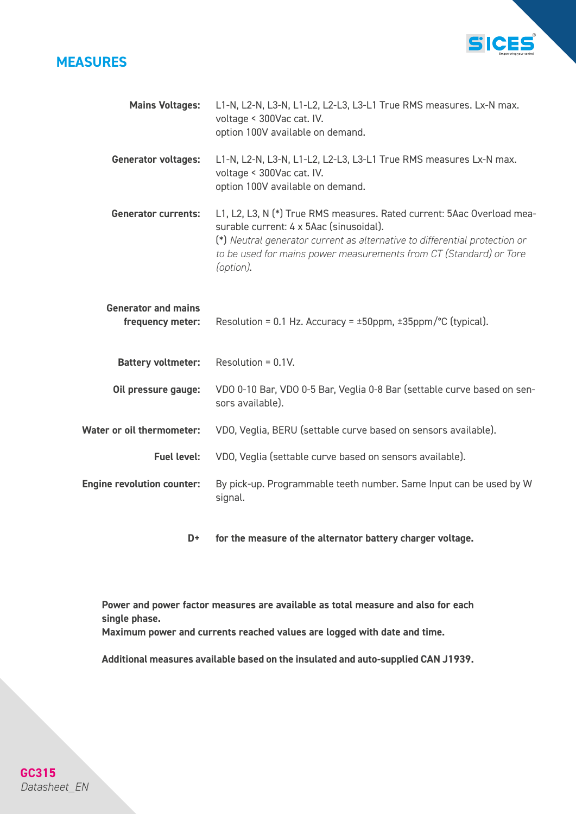## *MEASURES*



| <b>Mains Voltages:</b>                         | L1-N, L2-N, L3-N, L1-L2, L2-L3, L3-L1 True RMS measures. Lx-N max.<br>voltage < 300Vac cat. IV.<br>option 100V available on demand.                                                                                                                                                |
|------------------------------------------------|------------------------------------------------------------------------------------------------------------------------------------------------------------------------------------------------------------------------------------------------------------------------------------|
| <b>Generator voltages:</b>                     | L1-N, L2-N, L3-N, L1-L2, L2-L3, L3-L1 True RMS measures Lx-N max.<br>voltage < 300Vac cat. IV.<br>option 100V available on demand.                                                                                                                                                 |
| <b>Generator currents:</b>                     | L1, L2, L3, N (*) True RMS measures. Rated current: 5Aac Overload mea-<br>surable current: 4 x 5Aac (sinusoidal).<br>(*) Neutral generator current as alternative to differential protection or<br>to be used for mains power measurements from CT (Standard) or Tore<br>(option). |
| <b>Generator and mains</b><br>frequency meter: | Resolution = 0.1 Hz. Accuracy = $\pm$ 50ppm, $\pm$ 35ppm/°C (typical).                                                                                                                                                                                                             |
| <b>Battery voltmeter:</b>                      | Resolution = $0.1V$ .                                                                                                                                                                                                                                                              |
| Oil pressure gauge:                            | VDO 0-10 Bar, VDO 0-5 Bar, Veglia 0-8 Bar (settable curve based on sen-<br>sors available).                                                                                                                                                                                        |
| <b>Water or oil thermometer:</b>               | VDO, Veglia, BERU (settable curve based on sensors available).                                                                                                                                                                                                                     |
| <b>Fuel level:</b>                             | VDO, Veglia (settable curve based on sensors available).                                                                                                                                                                                                                           |
| <b>Engine revolution counter:</b>              | By pick-up. Programmable teeth number. Same Input can be used by W<br>signal.                                                                                                                                                                                                      |
|                                                |                                                                                                                                                                                                                                                                                    |

*for the measure of the alternator battery charger voltage. D+* 

*Power and power factor measures are available as total measure and also for each single phase.*

*Maximum power and currents reached values are logged with date and time.*

*Additional measures available based on the insulated and auto-supplied CAN J1939.*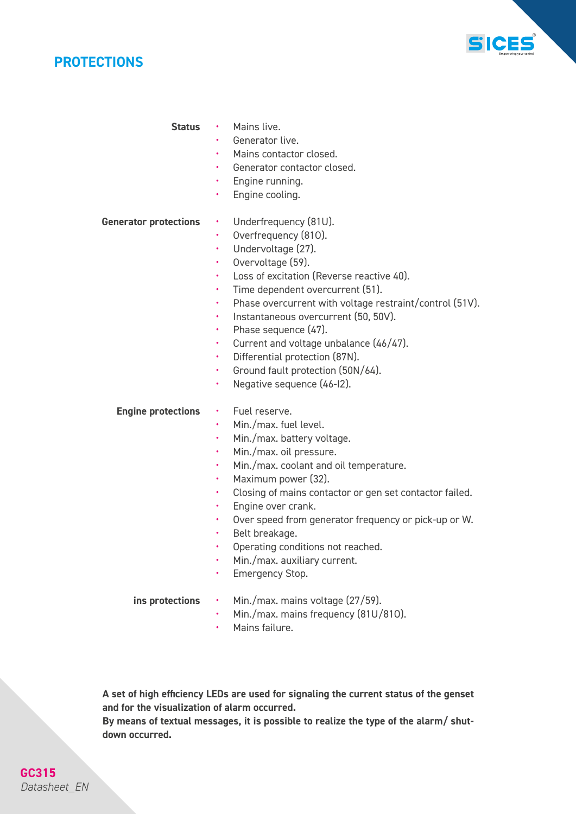



Status · Mains live.

- Generator live.
- Mains contactor closed.
- Generator contactor closed.
- Engine running.
- Engine cooling.

#### *Generator protections*

- Underfrequency (81U).
- Overfrequency (81O).
- Undervoltage (27).
- Overvoltage (59).
- Loss of excitation (Reverse reactive 40).
- Time dependent overcurrent (51).
- Phase overcurrent with voltage restraint/control (51V).
- Instantaneous overcurrent (50, 50V).
- Phase sequence (47).
- Current and voltage unbalance (46/47).
- Differential protection (87N).
- Ground fault protection (50N/64).
- Negative sequence (46-I2).

#### *Engine protections*

### • Fuel reserve.

- Min./max. fuel level.
- Min./max. battery voltage.
- Min./max. oil pressure.
- Min./max. coolant and oil temperature.
- Maximum power (32).
- Closing of mains contactor or gen set contactor failed.
- Engine over crank.
- Over speed from generator frequency or pick-up or W.
- Belt breakage.
- Operating conditions not reached.
- Min./max. auxiliary current.
- Emergency Stop.

*ins protections*

- Min./max. mains voltage (27/59).
	- Min./max. mains frequency (81U/81O).
	- Mains failure.

*A set of high efficiency LEDs are used for signaling the current status of the genset and for the visualization of alarm occurred.*

*By means of textual messages, it is possible to realize the type of the alarm/ shutdown occurred.*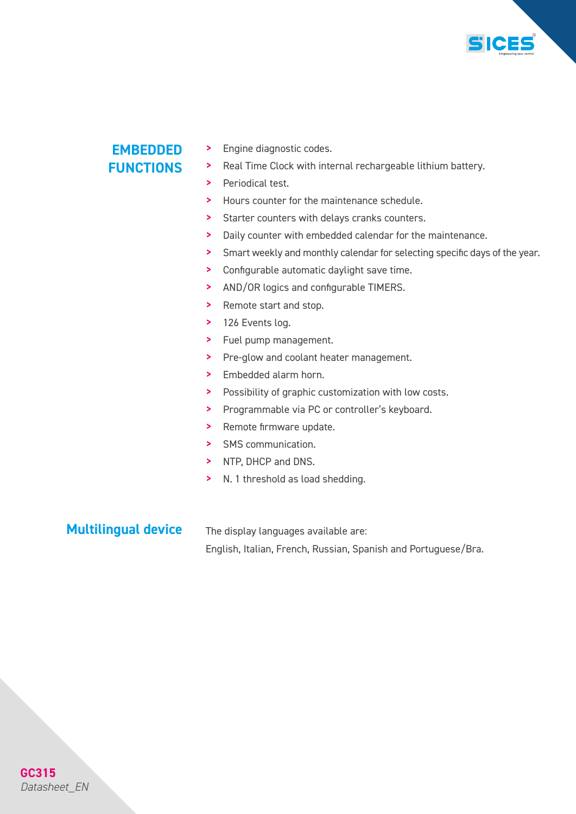

## *EMBEDDED FUNCTIONS*

- > Engine diagnostic codes.
- > Real Time Clock with internal rechargeable lithium battery.
- > Periodical test.
- > Hours counter for the maintenance schedule.
- > Starter counters with delays cranks counters.
- > Daily counter with embedded calendar for the maintenance.
- > Smart weekly and monthly calendar for selecting specific days of the year.
- > Configurable automatic daylight save time.
- > AND/OR logics and configurable TIMERS.
- > Remote start and stop.
- > 126 Events log.
- > Fuel pump management.
- > Pre-glow and coolant heater management.
- > Embedded alarm horn.
- > Possibility of graphic customization with low costs.
- > Programmable via PC or controller's keyboard.
- > Remote firmware update.
- > SMS communication.
- > NTP, DHCP and DNS.
- > N. 1 threshold as load shedding.

## *Multilingual device*

The display languages available are: English, Italian, French, Russian, Spanish and Portuguese/Bra.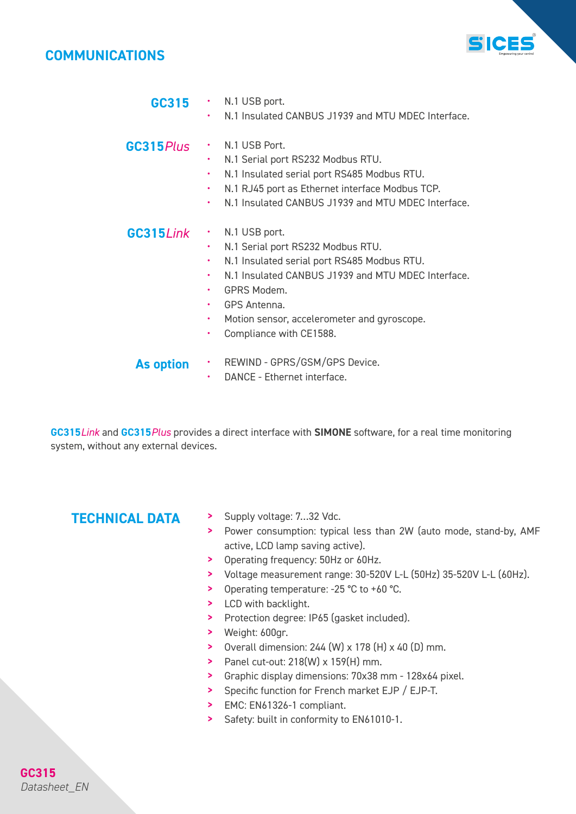## *COMMUNICATIONS*



| GC315      | $\cdot$ N.1 USB port.<br>N.1 Insulated CANBUS J1939 and MTU MDEC Interface.                                                                                                                                                                                                  |
|------------|------------------------------------------------------------------------------------------------------------------------------------------------------------------------------------------------------------------------------------------------------------------------------|
| GC315 Plus | N.1 USB Port.<br>N.1 Serial port RS232 Modbus RTU.<br>N.1 Insulated serial port RS485 Modbus RTU.<br>N.1 RJ45 port as Ethernet interface Modbus TCP.<br>٠<br>N.1 Insulated CANBUS J1939 and MTU MDEC Interface.<br>٠                                                         |
| GC315Link  | N.1 USB port.<br>N.1 Serial port RS232 Modbus RTU.<br>N.1 Insulated serial port RS485 Modbus RTU.<br>N.1 Insulated CANBUS J1939 and MTU MDEC Interface.<br>٠<br>GPRS Modem.<br><b>GPS Antenna.</b><br>Motion sensor, accelerometer and gyroscope.<br>Compliance with CE1588. |

- REWIND GPRS/GSM/GPS Device. *As option*
	- DANCE Ethernet interface.

*GC315Link* and *GC315Plus* provides a direct interface with *SIMONE* software, for a real time monitoring system, without any external devices.

- *TECHNICAL DATA* > Supply voltage: 7…32 Vdc.
	- > Power consumption: typical less than 2W (auto mode, stand-by, AMF active, LCD lamp saving active).
	- > Operating frequency: 50Hz or 60Hz.
	- > Voltage measurement range: 30-520V L-L (50Hz) 35-520V L-L (60Hz).
	- > Operating temperature: -25 °C to +60 °C.
	- > LCD with backlight.
	- > Protection degree: IP65 (gasket included).
	- > Weight: 600gr.
	- > Overall dimension: 244 (W) x 178 (H) x 40 (D) mm.
	- > Panel cut-out: 218(W) x 159(H) mm.
	- > Graphic display dimensions: 70x38 mm 128x64 pixel.
	- > Specific function for French market EJP / EJP-T.
	- > EMC: EN61326-1 compliant.
	- > Safety: built in conformity to EN61010-1.

**GC315** *Datasheet\_EN*